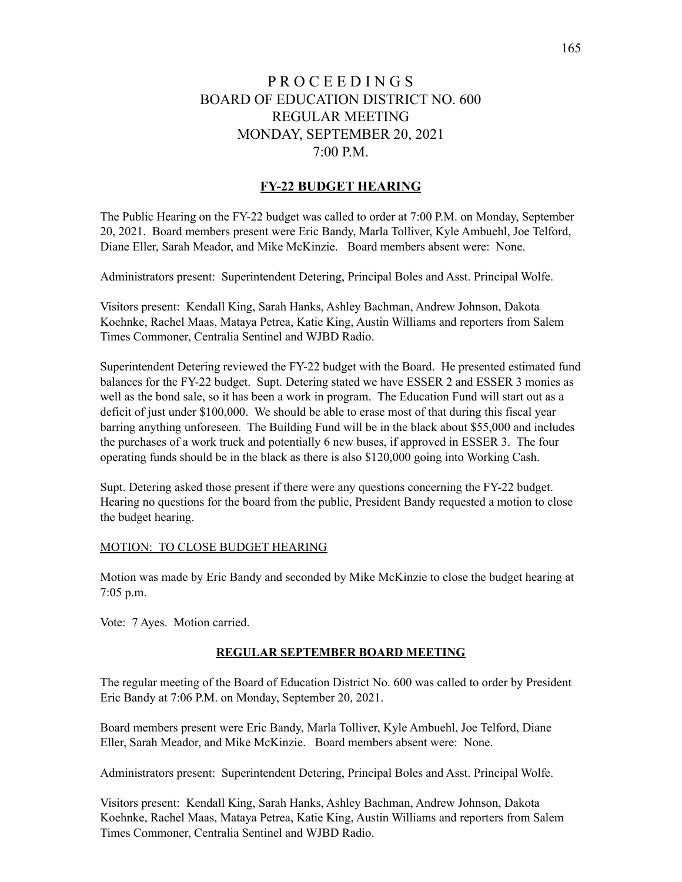# P R O C E E D I N G S BOARD OF EDUCATION DISTRICT NO. 600 REGULAR MEETING MONDAY, SEPTEMBER 20, 2021 7:00 P.M.

# **FY-22 BUDGET HEARING**

The Public Hearing on the FY-22 budget was called to order at 7:00 P.M. on Monday, September 20, 2021. Board members present were Eric Bandy, Marla Tolliver, Kyle Ambuehl, Joe Telford, Diane Eller, Sarah Meador, and Mike McKinzie. Board members absent were: None.

Administrators present: Superintendent Detering, Principal Boles and Asst. Principal Wolfe.

Visitors present: Kendall King, Sarah Hanks, Ashley Bachman, Andrew Johnson, Dakota Koehnke, Rachel Maas, Mataya Petrea, Katie King, Austin Williams and reporters from Salem Times Commoner, Centralia Sentinel and WJBD Radio.

Superintendent Detering reviewed the FY-22 budget with the Board. He presented estimated fund balances for the FY-22 budget. Supt. Detering stated we have ESSER 2 and ESSER 3 monies as well as the bond sale, so it has been a work in program. The Education Fund will start out as a deficit of just under \$100,000. We should be able to erase most of that during this fiscal year barring anything unforeseen. The Building Fund will be in the black about \$55,000 and includes the purchases of a work truck and potentially 6 new buses, if approved in ESSER 3. The four operating funds should be in the black as there is also \$120,000 going into Working Cash.

Supt. Detering asked those present if there were any questions concerning the FY-22 budget. Hearing no questions for the board from the public, President Bandy requested a motion to close the budget hearing.

#### MOTION: TO CLOSE BUDGET HEARING

Motion was made by Eric Bandy and seconded by Mike McKinzie to close the budget hearing at 7:05 p.m.

Vote: 7 Ayes. Motion carried.

## **REGULAR SEPTEMBER BOARD MEETING**

The regular meeting of the Board of Education District No. 600 was called to order by President Eric Bandy at 7:06 P.M. on Monday, September 20, 2021.

Board members present were Eric Bandy, Marla Tolliver, Kyle Ambuehl, Joe Telford, Diane Eller, Sarah Meador, and Mike McKinzie. Board members absent were: None.

Administrators present: Superintendent Detering, Principal Boles and Asst. Principal Wolfe.

Visitors present: Kendall King, Sarah Hanks, Ashley Bachman, Andrew Johnson, Dakota Koehnke, Rachel Maas, Mataya Petrea, Katie King, Austin Williams and reporters from Salem Times Commoner, Centralia Sentinel and WJBD Radio.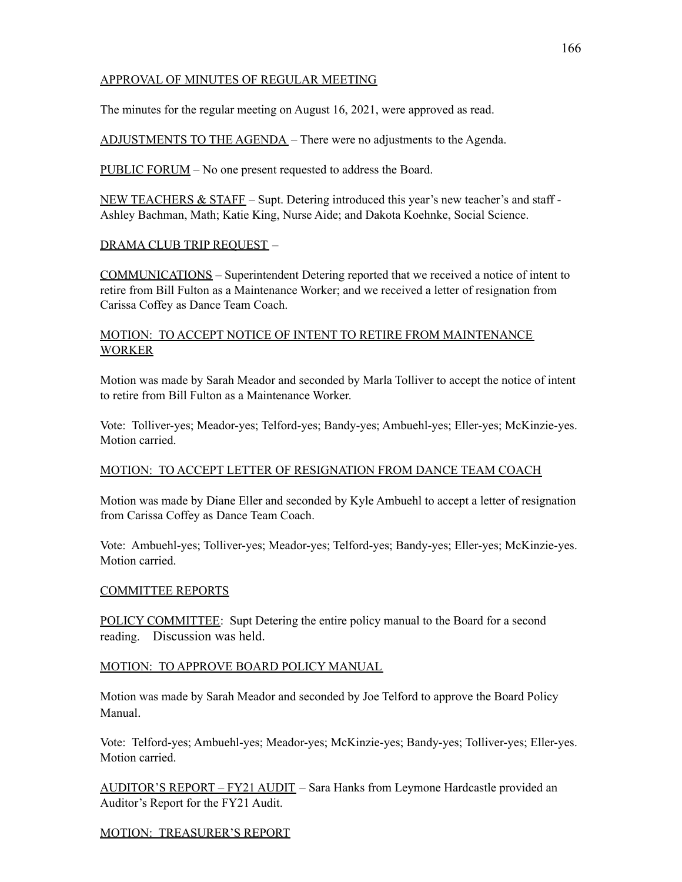# APPROVAL OF MINUTES OF REGULAR MEETING

The minutes for the regular meeting on August 16, 2021, were approved as read.

ADJUSTMENTS TO THE AGENDA – There were no adjustments to the Agenda.

PUBLIC FORUM – No one present requested to address the Board.

NEW TEACHERS  $\&$  STAFF – Supt. Detering introduced this year's new teacher's and staff -Ashley Bachman, Math; Katie King, Nurse Aide; and Dakota Koehnke, Social Science.

## DRAMA CLUB TRIP REQUEST –

COMMUNICATIONS – Superintendent Detering reported that we received a notice of intent to retire from Bill Fulton as a Maintenance Worker; and we received a letter of resignation from Carissa Coffey as Dance Team Coach.

## MOTION: TO ACCEPT NOTICE OF INTENT TO RETIRE FROM MAINTENANCE WORKER

Motion was made by Sarah Meador and seconded by Marla Tolliver to accept the notice of intent to retire from Bill Fulton as a Maintenance Worker.

Vote: Tolliver-yes; Meador-yes; Telford-yes; Bandy-yes; Ambuehl-yes; Eller-yes; McKinzie-yes. Motion carried.

## MOTION: TO ACCEPT LETTER OF RESIGNATION FROM DANCE TEAM COACH

Motion was made by Diane Eller and seconded by Kyle Ambuehl to accept a letter of resignation from Carissa Coffey as Dance Team Coach.

Vote: Ambuehl-yes; Tolliver-yes; Meador-yes; Telford-yes; Bandy-yes; Eller-yes; McKinzie-yes. Motion carried.

## COMMITTEE REPORTS

POLICY COMMITTEE: Supt Detering the entire policy manual to the Board for a second reading. Discussion was held.

## MOTION: TO APPROVE BOARD POLICY MANUAL

Motion was made by Sarah Meador and seconded by Joe Telford to approve the Board Policy Manual.

Vote: Telford-yes; Ambuehl-yes; Meador-yes; McKinzie-yes; Bandy-yes; Tolliver-yes; Eller-yes. Motion carried.

AUDITOR'S REPORT – FY21 AUDIT – Sara Hanks from Leymone Hardcastle provided an Auditor's Report for the FY21 Audit.

# MOTION: TREASURER'S REPORT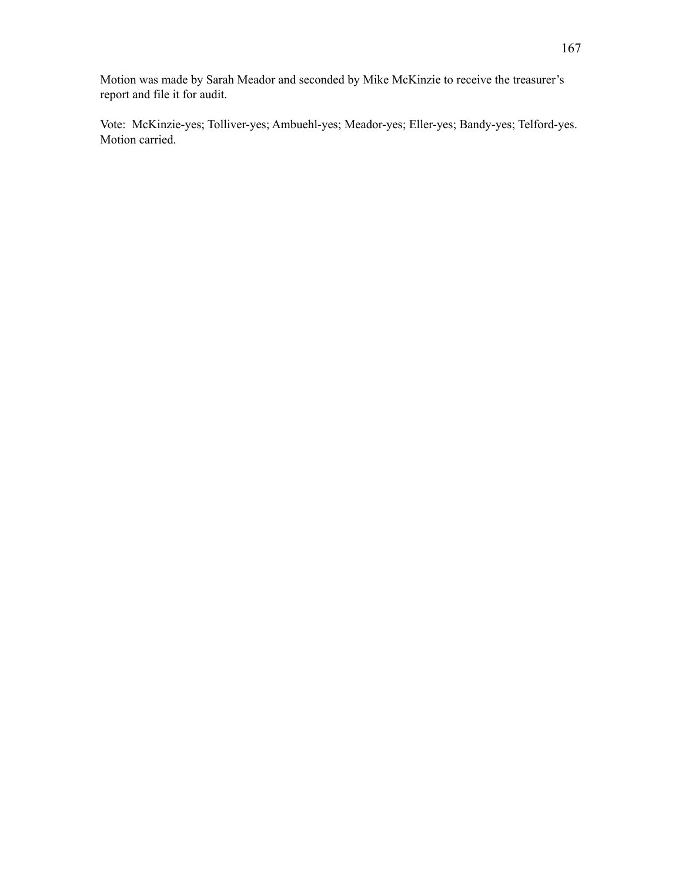Motion was made by Sarah Meador and seconded by Mike McKinzie to receive the treasurer's report and file it for audit.

Vote: McKinzie-yes; Tolliver-yes; Ambuehl-yes; Meador-yes; Eller-yes; Bandy-yes; Telford-yes. Motion carried.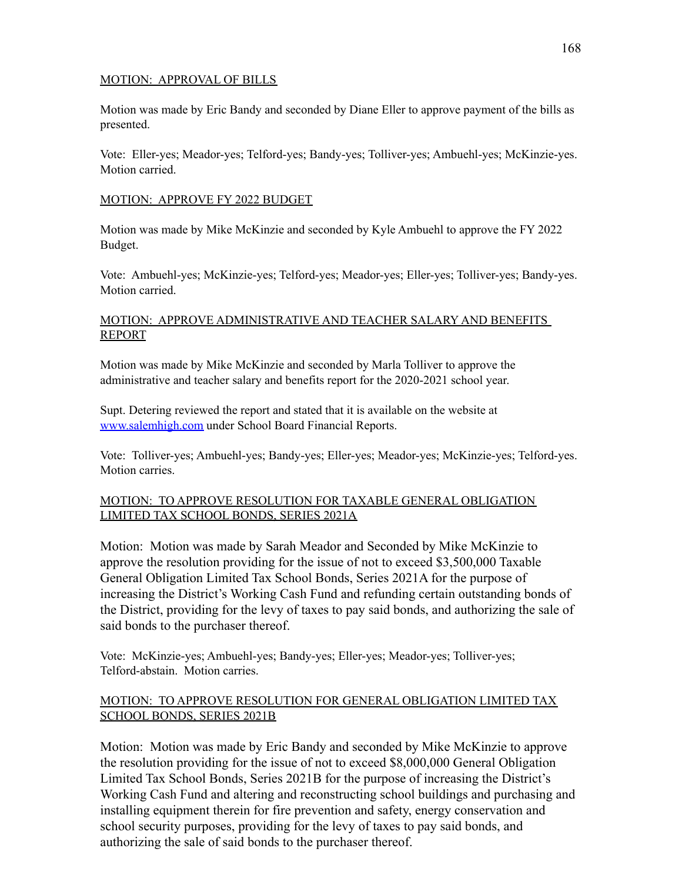## MOTION: APPROVAL OF BILLS

Motion was made by Eric Bandy and seconded by Diane Eller to approve payment of the bills as presented.

Vote: Eller-yes; Meador-yes; Telford-yes; Bandy-yes; Tolliver-yes; Ambuehl-yes; McKinzie-yes. Motion carried.

## MOTION: APPROVE FY 2022 BUDGET

Motion was made by Mike McKinzie and seconded by Kyle Ambuehl to approve the FY 2022 Budget.

Vote: Ambuehl-yes; McKinzie-yes; Telford-yes; Meador-yes; Eller-yes; Tolliver-yes; Bandy-yes. Motion carried.

## MOTION: APPROVE ADMINISTRATIVE AND TEACHER SALARY AND BENEFITS REPORT

Motion was made by Mike McKinzie and seconded by Marla Tolliver to approve the administrative and teacher salary and benefits report for the 2020-2021 school year.

Supt. Detering reviewed the report and stated that it is available on the website at [www.salemhigh.com](http://www.salemhigh.com) under School Board Financial Reports.

Vote: Tolliver-yes; Ambuehl-yes; Bandy-yes; Eller-yes; Meador-yes; McKinzie-yes; Telford-yes. Motion carries.

# MOTION: TO APPROVE RESOLUTION FOR TAXABLE GENERAL OBLIGATION LIMITED TAX SCHOOL BONDS, SERIES 2021A

Motion: Motion was made by Sarah Meador and Seconded by Mike McKinzie to approve the resolution providing for the issue of not to exceed \$3,500,000 Taxable General Obligation Limited Tax School Bonds, Series 2021A for the purpose of increasing the District's Working Cash Fund and refunding certain outstanding bonds of the District, providing for the levy of taxes to pay said bonds, and authorizing the sale of said bonds to the purchaser thereof.

Vote: McKinzie-yes; Ambuehl-yes; Bandy-yes; Eller-yes; Meador-yes; Tolliver-yes; Telford-abstain. Motion carries.

# MOTION: TO APPROVE RESOLUTION FOR GENERAL OBLIGATION LIMITED TAX SCHOOL BONDS, SERIES 2021B

Motion: Motion was made by Eric Bandy and seconded by Mike McKinzie to approve the resolution providing for the issue of not to exceed \$8,000,000 General Obligation Limited Tax School Bonds, Series 2021B for the purpose of increasing the District's Working Cash Fund and altering and reconstructing school buildings and purchasing and installing equipment therein for fire prevention and safety, energy conservation and school security purposes, providing for the levy of taxes to pay said bonds, and authorizing the sale of said bonds to the purchaser thereof.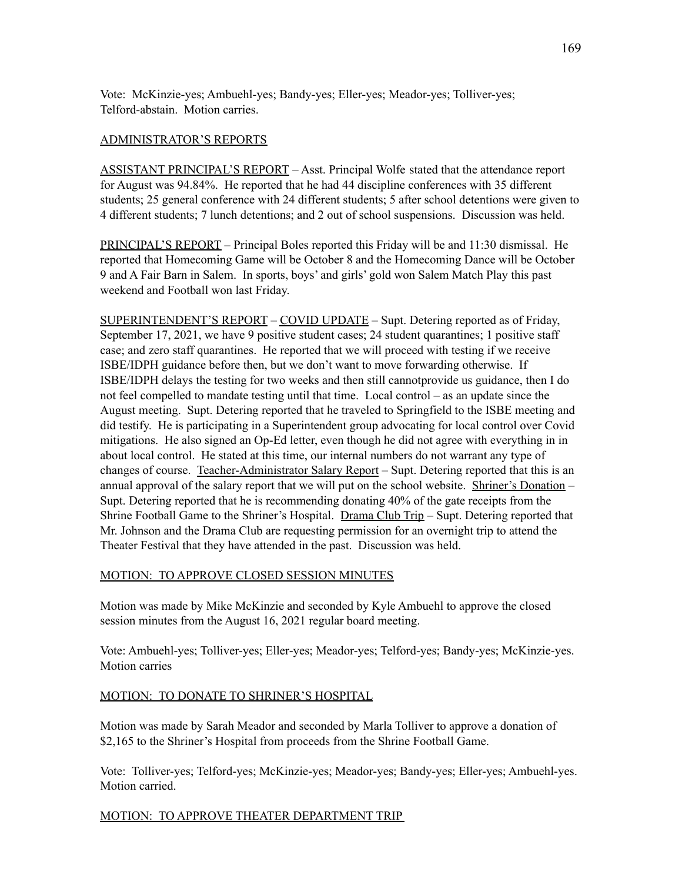Vote: McKinzie-yes; Ambuehl-yes; Bandy-yes; Eller-yes; Meador-yes; Tolliver-yes; Telford-abstain. Motion carries.

## ADMINISTRATOR'S REPORTS

ASSISTANT PRINCIPAL'S REPORT – Asst. Principal Wolfe stated that the attendance report for August was 94.84%. He reported that he had 44 discipline conferences with 35 different students; 25 general conference with 24 different students; 5 after school detentions were given to 4 different students; 7 lunch detentions; and 2 out of school suspensions. Discussion was held.

PRINCIPAL'S REPORT – Principal Boles reported this Friday will be and 11:30 dismissal. He reported that Homecoming Game will be October 8 and the Homecoming Dance will be October 9 and A Fair Barn in Salem. In sports, boys' and girls' gold won Salem Match Play this past weekend and Football won last Friday.

SUPERINTENDENT'S REPORT – COVID UPDATE – Supt. Detering reported as of Friday, September 17, 2021, we have 9 positive student cases; 24 student quarantines; 1 positive staff case; and zero staff quarantines. He reported that we will proceed with testing if we receive ISBE/IDPH guidance before then, but we don't want to move forwarding otherwise. If ISBE/IDPH delays the testing for two weeks and then still cannotprovide us guidance, then I do not feel compelled to mandate testing until that time. Local control – as an update since the August meeting. Supt. Detering reported that he traveled to Springfield to the ISBE meeting and did testify. He is participating in a Superintendent group advocating for local control over Covid mitigations. He also signed an Op-Ed letter, even though he did not agree with everything in in about local control. He stated at this time, our internal numbers do not warrant any type of changes of course. Teacher-Administrator Salary Report - Supt. Detering reported that this is an annual approval of the salary report that we will put on the school website. Shriner's Donation – Supt. Detering reported that he is recommending donating 40% of the gate receipts from the Shrine Football Game to the Shriner's Hospital. Drama Club Trip – Supt. Detering reported that Mr. Johnson and the Drama Club are requesting permission for an overnight trip to attend the Theater Festival that they have attended in the past. Discussion was held.

# MOTION: TO APPROVE CLOSED SESSION MINUTES

Motion was made by Mike McKinzie and seconded by Kyle Ambuehl to approve the closed session minutes from the August 16, 2021 regular board meeting.

Vote: Ambuehl-yes; Tolliver-yes; Eller-yes; Meador-yes; Telford-yes; Bandy-yes; McKinzie-yes. Motion carries

## MOTION: TO DONATE TO SHRINER'S HOSPITAL

Motion was made by Sarah Meador and seconded by Marla Tolliver to approve a donation of \$2,165 to the Shriner's Hospital from proceeds from the Shrine Football Game.

Vote: Tolliver-yes; Telford-yes; McKinzie-yes; Meador-yes; Bandy-yes; Eller-yes; Ambuehl-yes. Motion carried.

# MOTION: TO APPROVE THEATER DEPARTMENT TRIP